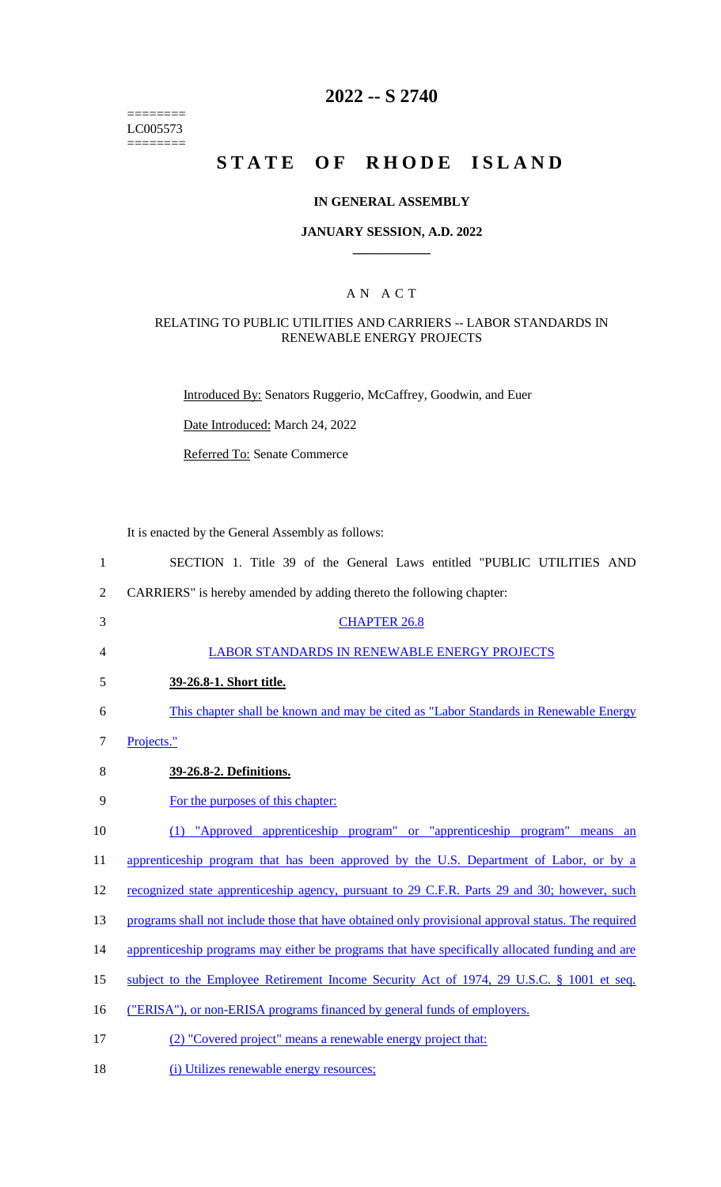======== LC005573 ========

## **2022 -- S 2740**

# **STATE OF RHODE ISLAND**

### **IN GENERAL ASSEMBLY**

### **JANUARY SESSION, A.D. 2022 \_\_\_\_\_\_\_\_\_\_\_\_**

### A N A C T

### RELATING TO PUBLIC UTILITIES AND CARRIERS -- LABOR STANDARDS IN RENEWABLE ENERGY PROJECTS

Introduced By: Senators Ruggerio, McCaffrey, Goodwin, and Euer

Date Introduced: March 24, 2022

Referred To: Senate Commerce

It is enacted by the General Assembly as follows:

18 (i) Utilizes renewable energy resources;

 SECTION 1. Title 39 of the General Laws entitled "PUBLIC UTILITIES AND CARRIERS" is hereby amended by adding thereto the following chapter: CHAPTER 26.8 LABOR STANDARDS IN RENEWABLE ENERGY PROJECTS **39-26.8-1. Short title.**  This chapter shall be known and may be cited as "Labor Standards in Renewable Energy Projects." **39-26.8-2. Definitions.**  For the purposes of this chapter: (1) "Approved apprenticeship program" or "apprenticeship program" means an 11 apprenticeship program that has been approved by the U.S. Department of Labor, or by a 12 recognized state apprenticeship agency, pursuant to 29 C.F.R. Parts 29 and 30; however, such 13 programs shall not include those that have obtained only provisional approval status. The required 14 apprenticeship programs may either be programs that have specifically allocated funding and are 15 subject to the Employee Retirement Income Security Act of 1974, 29 U.S.C. § 1001 et seq. 16 ("ERISA"), or non-ERISA programs financed by general funds of employers. (2) "Covered project" means a renewable energy project that: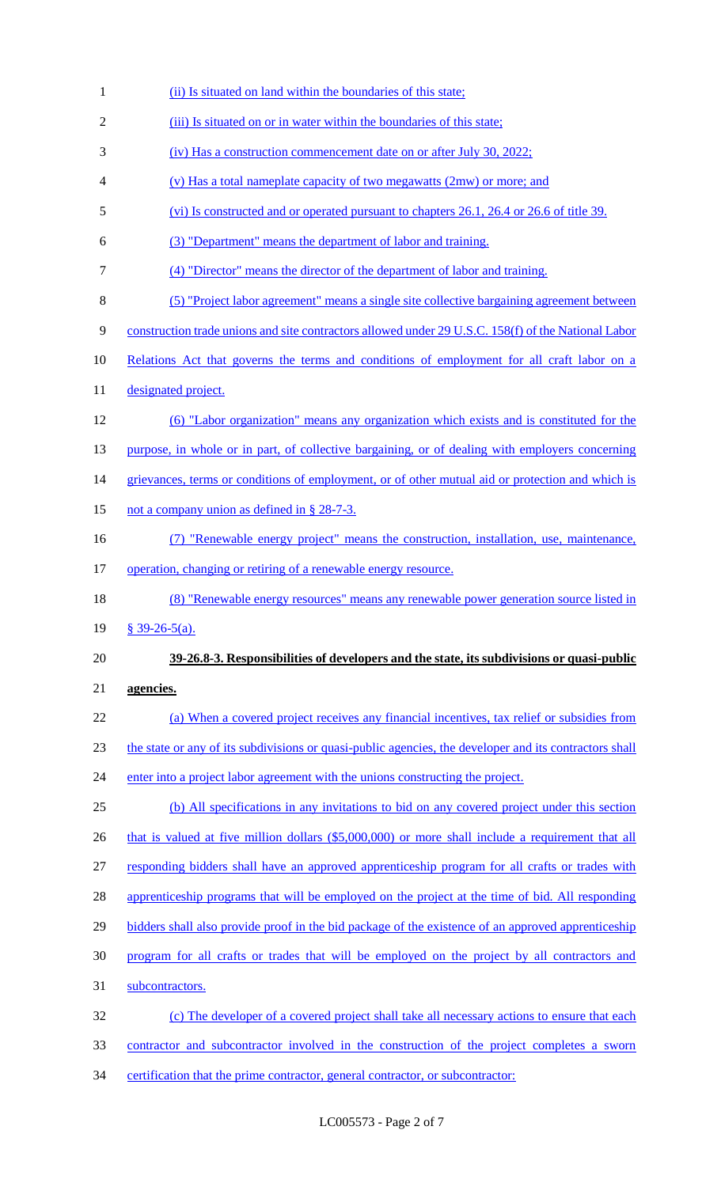- (ii) Is situated on land within the boundaries of this state; 2 (iii) Is situated on or in water within the boundaries of this state; (iv) Has a construction commencement date on or after July 30, 2022; (v) Has a total nameplate capacity of two megawatts (2mw) or more; and (vi) Is constructed and or operated pursuant to chapters 26.1, 26.4 or 26.6 of title 39. (3) "Department" means the department of labor and training. (4) "Director" means the director of the department of labor and training. (5) "Project labor agreement" means a single site collective bargaining agreement between construction trade unions and site contractors allowed under 29 U.S.C. 158(f) of the National Labor 10 Relations Act that governs the terms and conditions of employment for all craft labor on a 11 designated project. (6) "Labor organization" means any organization which exists and is constituted for the 13 purpose, in whole or in part, of collective bargaining, or of dealing with employers concerning 14 grievances, terms or conditions of employment, or of other mutual aid or protection and which is 15 not a company union as defined in § 28-7-3. (7) "Renewable energy project" means the construction, installation, use, maintenance, 17 operation, changing or retiring of a renewable energy resource. (8) "Renewable energy resources" means any renewable power generation source listed in § 39-26-5(a). **39-26.8-3. Responsibilities of developers and the state, its subdivisions or quasi-public agencies.**  (a) When a covered project receives any financial incentives, tax relief or subsidies from the state or any of its subdivisions or quasi-public agencies, the developer and its contractors shall 24 enter into a project labor agreement with the unions constructing the project. (b) All specifications in any invitations to bid on any covered project under this section 26 that is valued at five million dollars (\$5,000,000) or more shall include a requirement that all responding bidders shall have an approved apprenticeship program for all crafts or trades with 28 apprenticeship programs that will be employed on the project at the time of bid. All responding 29 bidders shall also provide proof in the bid package of the existence of an approved apprenticeship program for all crafts or trades that will be employed on the project by all contractors and subcontractors. (c) The developer of a covered project shall take all necessary actions to ensure that each contractor and subcontractor involved in the construction of the project completes a sworn
- certification that the prime contractor, general contractor, or subcontractor: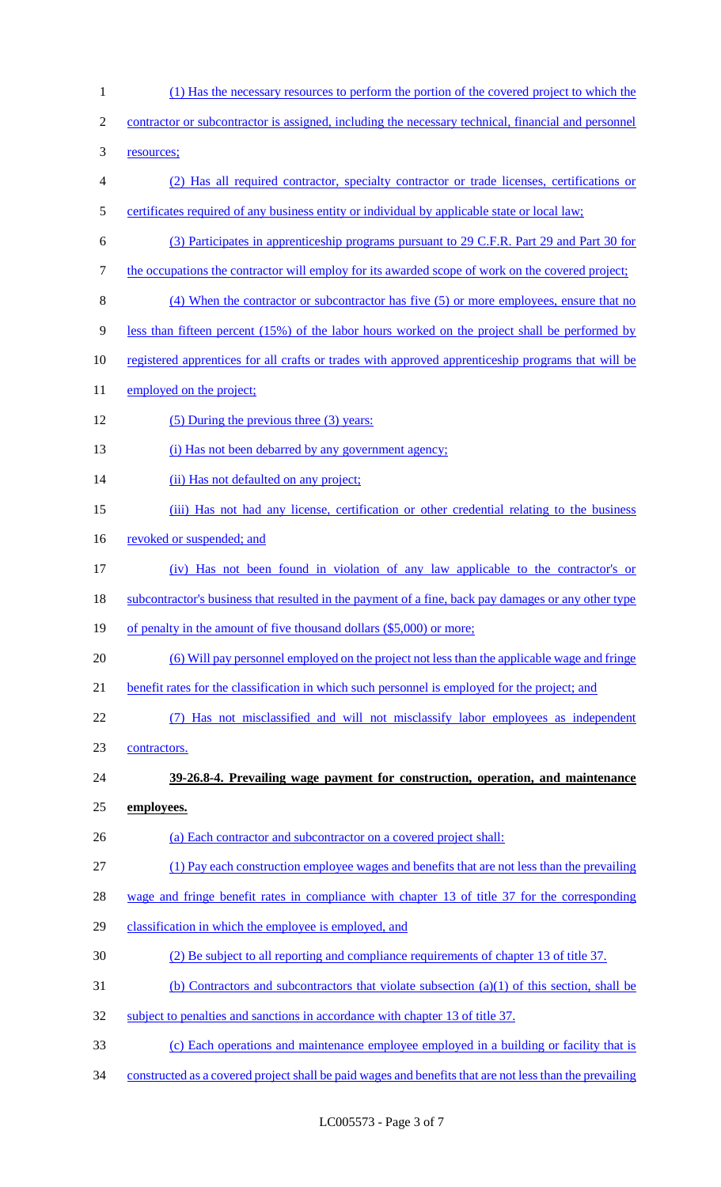- (1) Has the necessary resources to perform the portion of the covered project to which the contractor or subcontractor is assigned, including the necessary technical, financial and personnel resources; (2) Has all required contractor, specialty contractor or trade licenses, certifications or certificates required of any business entity or individual by applicable state or local law; (3) Participates in apprenticeship programs pursuant to 29 C.F.R. Part 29 and Part 30 for 7 the occupations the contractor will employ for its awarded scope of work on the covered project; (4) When the contractor or subcontractor has five (5) or more employees, ensure that no less than fifteen percent (15%) of the labor hours worked on the project shall be performed by registered apprentices for all crafts or trades with approved apprenticeship programs that will be 11 employed on the project; (5) During the previous three (3) years: 13 (i) Has not been debarred by any government agency; (ii) Has not defaulted on any project; (iii) Has not had any license, certification or other credential relating to the business 16 revoked or suspended; and (iv) Has not been found in violation of any law applicable to the contractor's or 18 subcontractor's business that resulted in the payment of a fine, back pay damages or any other type 19 of penalty in the amount of five thousand dollars (\$5,000) or more; (6) Will pay personnel employed on the project not less than the applicable wage and fringe benefit rates for the classification in which such personnel is employed for the project; and (7) Has not misclassified and will not misclassify labor employees as independent contractors. **39-26.8-4. Prevailing wage payment for construction, operation, and maintenance employees.**  (a) Each contractor and subcontractor on a covered project shall: (1) Pay each construction employee wages and benefits that are not less than the prevailing wage and fringe benefit rates in compliance with chapter 13 of title 37 for the corresponding classification in which the employee is employed, and (2) Be subject to all reporting and compliance requirements of chapter 13 of title 37. 31 (b) Contractors and subcontractors that violate subsection  $(a)(1)$  of this section, shall be subject to penalties and sanctions in accordance with chapter 13 of title 37. (c) Each operations and maintenance employee employed in a building or facility that is
- constructed as a covered project shall be paid wages and benefits that are not less than the prevailing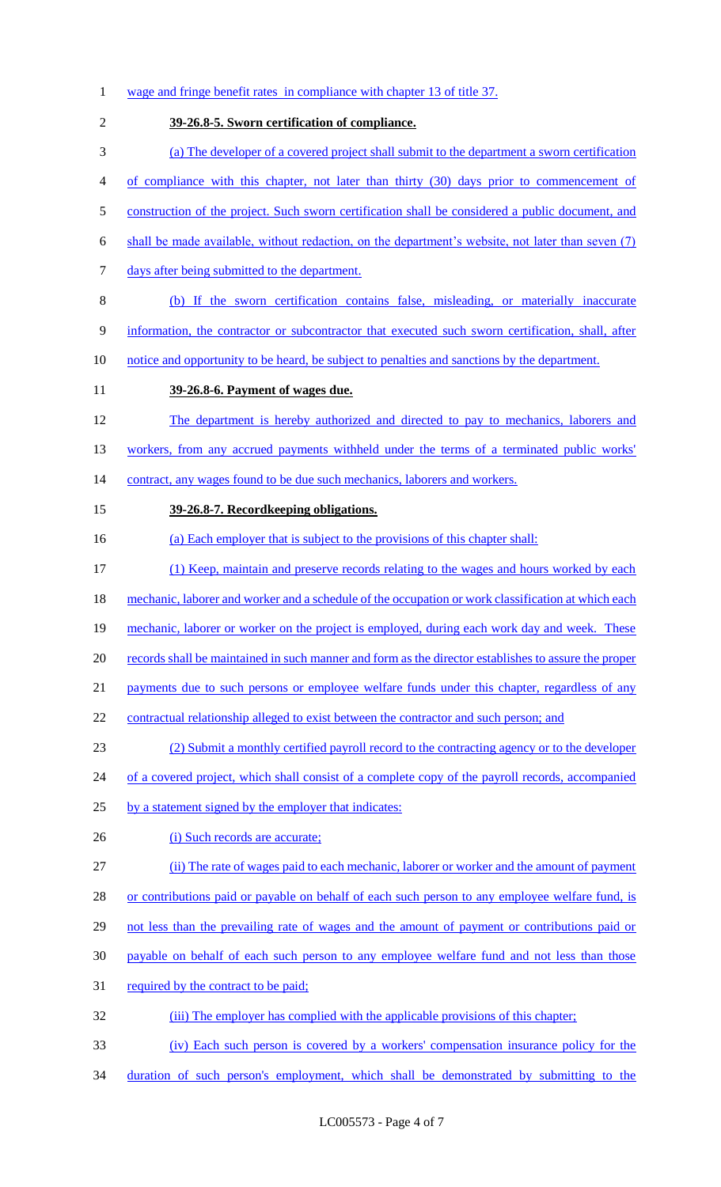1 wage and fringe benefit rates in compliance with chapter 13 of title 37. 2 **39-26.8-5. Sworn certification of compliance.**  3 (a) The developer of a covered project shall submit to the department a sworn certification 4 of compliance with this chapter, not later than thirty (30) days prior to commencement of 5 construction of the project. Such sworn certification shall be considered a public document, and 6 shall be made available, without redaction, on the department's website, not later than seven (7) 7 days after being submitted to the department. 8 (b) If the sworn certification contains false, misleading, or materially inaccurate 9 information, the contractor or subcontractor that executed such sworn certification, shall, after 10 notice and opportunity to be heard, be subject to penalties and sanctions by the department. 11 **39-26.8-6. Payment of wages due.**  12 The department is hereby authorized and directed to pay to mechanics, laborers and 13 workers, from any accrued payments withheld under the terms of a terminated public works' 14 contract, any wages found to be due such mechanics, laborers and workers. 15 **39-26.8-7. Recordkeeping obligations.**  16 (a) Each employer that is subject to the provisions of this chapter shall: 17 (1) Keep, maintain and preserve records relating to the wages and hours worked by each 18 mechanic, laborer and worker and a schedule of the occupation or work classification at which each 19 mechanic, laborer or worker on the project is employed, during each work day and week. These 20 records shall be maintained in such manner and form as the director establishes to assure the proper 21 payments due to such persons or employee welfare funds under this chapter, regardless of any 22 contractual relationship alleged to exist between the contractor and such person; and 23 (2) Submit a monthly certified payroll record to the contracting agency or to the developer 24 of a covered project, which shall consist of a complete copy of the payroll records, accompanied 25 by a statement signed by the employer that indicates: 26 (i) Such records are accurate; 27 (ii) The rate of wages paid to each mechanic, laborer or worker and the amount of payment 28 or contributions paid or payable on behalf of each such person to any employee welfare fund, is 29 not less than the prevailing rate of wages and the amount of payment or contributions paid or 30 payable on behalf of each such person to any employee welfare fund and not less than those 31 required by the contract to be paid; 32 (iii) The employer has complied with the applicable provisions of this chapter; 33 (iv) Each such person is covered by a workers' compensation insurance policy for the 34 duration of such person's employment, which shall be demonstrated by submitting to the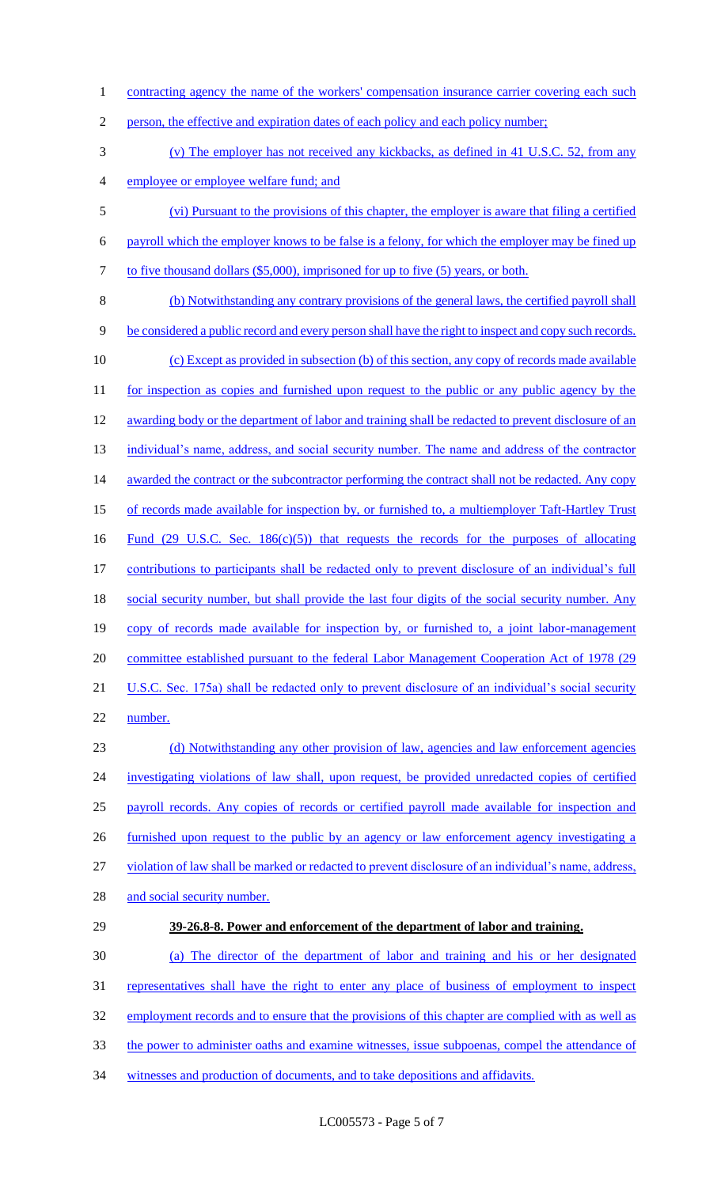1 contracting agency the name of the workers' compensation insurance carrier covering each such 2 person, the effective and expiration dates of each policy and each policy number; 3 (v) The employer has not received any kickbacks, as defined in 41 U.S.C. 52, from any 4 employee or employee welfare fund; and 5 (vi) Pursuant to the provisions of this chapter, the employer is aware that filing a certified 6 payroll which the employer knows to be false is a felony, for which the employer may be fined up 7 to five thousand dollars (\$5,000), imprisoned for up to five (5) years, or both. 8 (b) Notwithstanding any contrary provisions of the general laws, the certified payroll shall 9 be considered a public record and every person shall have the right to inspect and copy such records. 10 (c) Except as provided in subsection (b) of this section, any copy of records made available 11 for inspection as copies and furnished upon request to the public or any public agency by the 12 awarding body or the department of labor and training shall be redacted to prevent disclosure of an 13 individual's name, address, and social security number. The name and address of the contractor 14 awarded the contract or the subcontractor performing the contract shall not be redacted. Any copy 15 of records made available for inspection by, or furnished to, a multiemployer Taft-Hartley Trust 16 Fund (29 U.S.C. Sec. 186(c)(5)) that requests the records for the purposes of allocating 17 contributions to participants shall be redacted only to prevent disclosure of an individual's full 18 social security number, but shall provide the last four digits of the social security number. Any 19 copy of records made available for inspection by, or furnished to, a joint labor-management 20 committee established pursuant to the federal Labor Management Cooperation Act of 1978 (29 21 U.S.C. Sec. 175a) shall be redacted only to prevent disclosure of an individual's social security 22 number. 23 (d) Notwithstanding any other provision of law, agencies and law enforcement agencies 24 investigating violations of law shall, upon request, be provided unredacted copies of certified 25 payroll records. Any copies of records or certified payroll made available for inspection and 26 furnished upon request to the public by an agency or law enforcement agency investigating a 27 violation of law shall be marked or redacted to prevent disclosure of an individual's name, address, 28 and social security number. 29 **39-26.8-8. Power and enforcement of the department of labor and training.**  30 (a) The director of the department of labor and training and his or her designated 31 representatives shall have the right to enter any place of business of employment to inspect 32 employment records and to ensure that the provisions of this chapter are complied with as well as 33 the power to administer oaths and examine witnesses, issue subpoenas, compel the attendance of 34 witnesses and production of documents, and to take depositions and affidavits.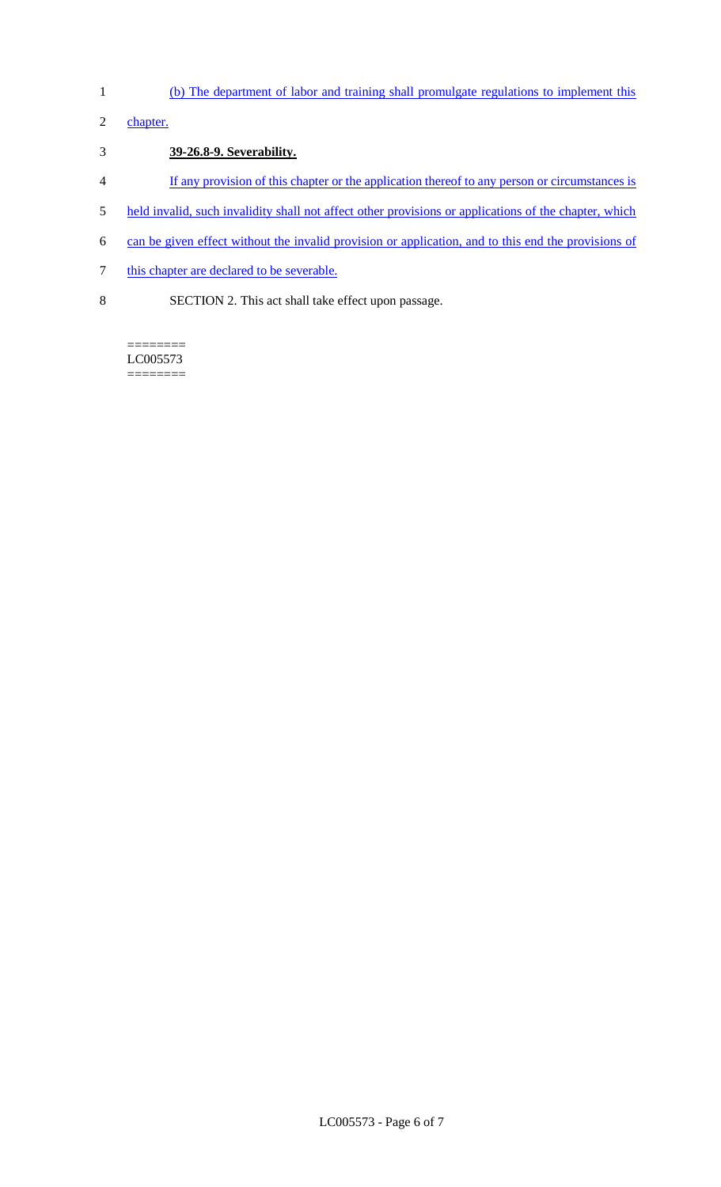- 1 (b) The department of labor and training shall promulgate regulations to implement this
- 2 chapter.

## 3 **39-26.8-9. Severability.**

- 4 If any provision of this chapter or the application thereof to any person or circumstances is
- 5 held invalid, such invalidity shall not affect other provisions or applications of the chapter, which
- 6 can be given effect without the invalid provision or application, and to this end the provisions of
- 7 this chapter are declared to be severable.
- 8 SECTION 2. This act shall take effect upon passage.

LC005573 ========

 $=$